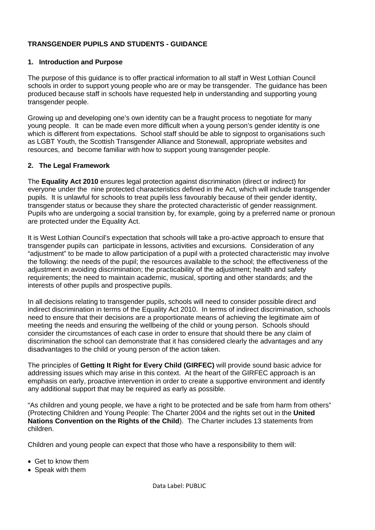# **TRANSGENDER PUPILS AND STUDENTS - GUIDANCE**

## **1. Introduction and Purpose**

The purpose of this guidance is to offer practical information to all staff in West Lothian Council schools in order to support young people who are or may be transgender. The guidance has been produced because staff in schools have requested help in understanding and supporting young transgender people.

Growing up and developing one's own identity can be a fraught process to negotiate for many young people. It can be made even more difficult when a young person's gender identity is one which is different from expectations. School staff should be able to signpost to organisations such as LGBT Youth, the Scottish Transgender Alliance and Stonewall, appropriate websites and resources, and become familiar with how to support young transgender people.

## **2. The Legal Framework**

The **Equality Act 2010** ensures legal protection against discrimination (direct or indirect) for everyone under the nine protected characteristics defined in the Act, which will include transgender pupils. It is unlawful for schools to treat pupils less favourably because of their gender identity, transgender status or because they share the protected characteristic of gender reassignment. Pupils who are undergoing a social transition by, for example, going by a preferred name or pronoun are protected under the Equality Act.

It is West Lothian Council's expectation that schools will take a pro-active approach to ensure that transgender pupils can participate in lessons, activities and excursions. Consideration of any "adjustment" to be made to allow participation of a pupil with a protected characteristic may involve the following: the needs of the pupil; the resources available to the school; the effectiveness of the adjustment in avoiding discrimination; the practicability of the adjustment; health and safety requirements; the need to maintain academic, musical, sporting and other standards; and the interests of other pupils and prospective pupils.

In all decisions relating to transgender pupils, schools will need to consider possible direct and indirect discrimination in terms of the Equality Act 2010. In terms of indirect discrimination, schools need to ensure that their decisions are a proportionate means of achieving the legitimate aim of meeting the needs and ensuring the wellbeing of the child or young person. Schools should consider the circumstances of each case in order to ensure that should there be any claim of discrimination the school can demonstrate that it has considered clearly the advantages and any disadvantages to the child or young person of the action taken.

The principles of **Getting It Right for Every Child (GIRFEC)** will provide sound basic advice for addressing issues which may arise in this context. At the heart of the GIRFEC approach is an emphasis on early, proactive intervention in order to create a supportive environment and identify any additional support that may be required as early as possible.

"As children and young people, we have a right to be protected and be safe from harm from others" (Protecting Children and Young People: The Charter 2004 and the rights set out in the **United Nations Convention on the Rights of the Child**). The Charter includes 13 statements from children.

Children and young people can expect that those who have a responsibility to them will:

- Get to know them
- Speak with them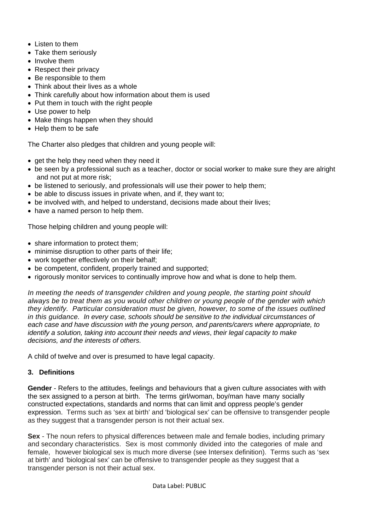- Listen to them
- Take them seriously
- Involve them
- Respect their privacy
- Be responsible to them
- Think about their lives as a whole
- Think carefully about how information about them is used
- Put them in touch with the right people
- Use power to help
- Make things happen when they should
- Help them to be safe

The Charter also pledges that children and young people will:

- get the help they need when they need it
- be seen by a professional such as a teacher, doctor or social worker to make sure they are alright and not put at more risk;
- be listened to seriously, and professionals will use their power to help them;
- be able to discuss issues in private when, and if, they want to;
- be involved with, and helped to understand, decisions made about their lives;
- have a named person to help them.

Those helping children and young people will:

- share information to protect them;
- minimise disruption to other parts of their life;
- work together effectively on their behalf;
- be competent, confident, properly trained and supported;
- rigorously monitor services to continually improve how and what is done to help them.

*In meeting the needs of transgender children and young people, the starting point should always be to treat them as you would other children or young people of the gender with which they identify. Particular consideration must be given, however, to some of the issues outlined in this guidance. In every case, schools should be sensitive to the individual circumstances of each case and have discussion with the young person, and parents/carers where appropriate, to identify a solution, taking into account their needs and views*, *their legal capacity to make decisions, and the interests of others.* 

A child of twelve and over is presumed to have legal capacity.

## **3. Definitions**

**Gender** - Refers to the attitudes, feelings and behaviours that a given culture associates with with the sex assigned to a person at birth. The terms girl/woman, boy/man have many socially constructed expectations, standards and norms that can limit and oppress people's gender expression. Terms such as 'sex at birth' and 'biological sex' can be offensive to transgender people as they suggest that a transgender person is not their actual sex.

**Sex** - The noun refers to physical differences between male and female bodies, including primary and secondary characteristics. Sex is most commonly divided into the categories of male and female, however biological sex is much more diverse (see Intersex definition). Terms such as 'sex at birth' and 'biological sex' can be offensive to transgender people as they suggest that a transgender person is not their actual sex.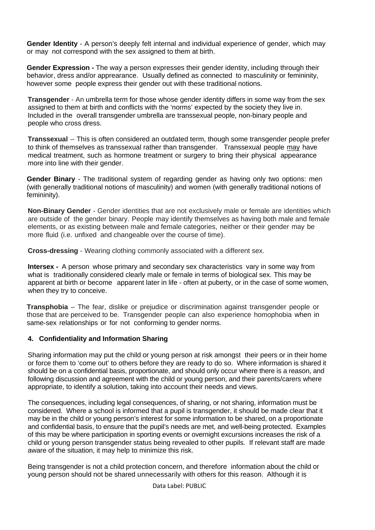**Gender Identity** - A person's deeply felt internal and individual experience of gender, which may or may not correspond with the sex assigned to them at birth.

**Gender Expression -** The way a person expresses their gender identity, including through their behavior, dress and/or apprearance. Usually defined as connected to masculinity or femininity, however some people express their gender out with these traditional notions.

**Transgender** - An umbrella term for those whose gender identity differs in some way from the sex assigned to them at birth and conflicts with the 'norms' expected by the society they live in. Included in the overall transgender umbrella are transsexual people, non-binary people and people who cross dress.

**Transsexual** – This is often considered an outdated term, though some transgender people prefer to think of themselves as transsexual rather than transgender. Transsexual people may have medical treatment, such as hormone treatment or surgery to bring their physical appearance more into line with their gender.

**Gender Binary** - The traditional system of regarding gender as having only two options: men (with generally traditional notions of masculinity) and women (with generally traditional notions of femininity).

**Non-Binary Gender** - Gender identities that are not exclusively male or female are identities which are outside of the gender binary. People may identify themselves as having both male and female elements, or as existing between male and female categories, neither or their gender may be more fluid (i.e. unfixed and changeable over the course of time).

**Cross-dressing** - Wearing clothing commonly associated with a different sex.

**Intersex** - A person whose primary and secondary sex characteristics vary in some way from what is traditionally considered clearly male or female in terms of biological sex. This may be apparent at birth or become apparent later in life - often at puberty, or in the case of some women, when they try to conceive.

**Transphobia** – The fear, dislike or prejudice or discrimination against transgender people or those that are perceived to be. Transgender people can also experience homophobia when in same-sex relationships or for not conforming to gender norms.

## **4. Confidentiality and Information Sharing**

Sharing information may put the child or young person at risk amongst their peers or in their home or force them to 'come out' to others before they are ready to do so. Where information is shared it should be on a confidential basis, proportionate, and should only occur where there is a reason, and following discussion and agreement with the child or young person, and their parents/carers where appropriate, to identify a solution, taking into account their needs and views.

The consequences, including legal consequences, of sharing, or not sharing, information must be considered. Where a school is informed that a pupil is transgender, it should be made clear that it may be in the child or young person's interest for some information to be shared, on a proportionate and confidential basis, to ensure that the pupil's needs are met, and well-being protected. Examples of this may be where participation in sporting events or overnight excursions increases the risk of a child or young person transgender status being revealed to other pupils. If relevant staff are made aware of the situation, it may help to minimize this risk.

Being transgender is not a child protection concern, and therefore information about the child or young person should not be shared unnecessarily with others for this reason. Although it is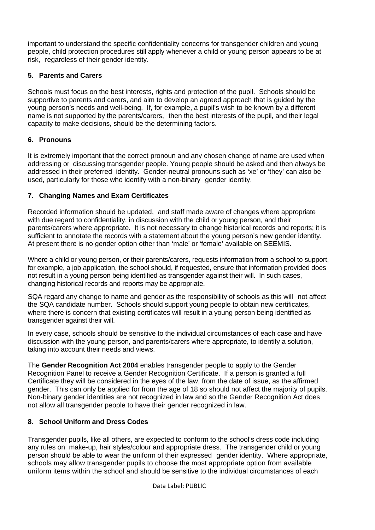important to understand the specific confidentiality concerns for transgender children and young people, child protection procedures still apply whenever a child or young person appears to be at risk, regardless of their gender identity.

## **5. Parents and Carers**

Schools must focus on the best interests, rights and protection of the pupil. Schools should be supportive to parents and carers, and aim to develop an agreed approach that is guided by the young person's needs and well-being. If, for example, a pupil's wish to be known by a different name is not supported by the parents/carers, then the best interests of the pupil, and their legal capacity to make decisions, should be the determining factors.

# **6. Pronouns**

It is extremely important that the correct pronoun and any chosen change of name are used when addressing or discussing transgender people. Young people should be asked and then always be addressed in their preferred identity. Gender-neutral pronouns such as 'xe' or 'they' can also be used, particularly for those who identify with a non-binary gender identity.

# **7. Changing Names and Exam Certificates**

Recorded information should be updated, and staff made aware of changes where appropriate with due regard to confidentiality, in discussion with the child or young person, and their parents/carers where appropriate. It is not necessary to change historical records and reports; it is sufficient to annotate the records with a statement about the young person's new gender identity. At present there is no gender option other than 'male' or 'female' available on SEEMIS.

Where a child or young person, or their parents/carers, requests information from a school to support, for example, a job application, the school should, if requested, ensure that information provided does not result in a young person being identified as transgender against their will. In such cases, changing historical records and reports may be appropriate.

SQA regard any change to name and gender as the responsibility of schools as this will not affect the SQA candidate number. Schools should support young people to obtain new certificates, where there is concern that existing certificates will result in a young person being identified as transgender against their will.

In every case, schools should be sensitive to the individual circumstances of each case and have discussion with the young person, and parents/carers where appropriate, to identify a solution, taking into account their needs and views.

The **Gender Recognition Act 2004** enables transgender people to apply to the Gender Recognition Panel to receive a Gender Recognition Certificate. If a person is granted a full Certificate they will be considered in the eyes of the law, from the date of issue, as the affirmed gender. This can only be applied for from the age of 18 so should not affect the majority of pupils. Non-binary gender identities are not recognized in law and so the Gender Recognition Act does not allow all transgender people to have their gender recognized in law.

## **8. School Uniform and Dress Codes**

Transgender pupils, like all others, are expected to conform to the school's dress code including any rules on make-up, hair styles/colour and appropriate dress. The transgender child or young person should be able to wear the uniform of their expressed gender identity. Where appropriate, schools may allow transgender pupils to choose the most appropriate option from available uniform items within the school and should be sensitive to the individual circumstances of each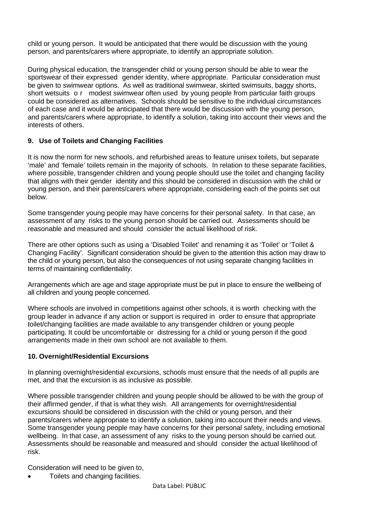child or young person. It would be anticipated that there would be discussion with the young person, and parents/carers where appropriate, to identify an appropriate solution.

During physical education, the transgender child or young person should be able to wear the sportswear of their expressed gender identity, where appropriate. Particular consideration must be given to swimwear options. As well as traditional swimwear, skirted swimsuits, baggy shorts, short wetsuits o r modest swimwear often used by young people from particular faith groups could be considered as alternatives. Schools should be sensitive to the individual circumstances of each case and it would be anticipated that there would be discussion with the young person, and parents/carers where appropriate, to identify a solution, taking into account their views and the interests of others.

## **9. Use of Toilets and Changing Facilities**

It is now the norm for new schools, and refurbished areas to feature unisex toilets, but separate 'male' and 'female' toilets remain in the majority of schools. In relation to these separate facilities, where possible, transgender children and young people should use the toilet and changing facility that aligns with their gender identity and this should be considered in discussion with the child or young person, and their parents/carers where appropriate, considering each of the points set out below.

Some transgender young people may have concerns for their personal safety. In that case, an assessment of any risks to the young person should be carried out. Assessments should be reasonable and measured and should consider the actual likelihood of risk.

There are other options such as using a 'Disabled Toilet' and renaming it as 'Toilet' or 'Toilet & Changing Facility'. Significant consideration should be given to the attention this action may draw to the child or young person, but also the consequences of not using separate changing facilities in terms of maintaining confidentiality.

Arrangements which are age and stage appropriate must be put in place to ensure the wellbeing of all children and young people concerned.

Where schools are involved in competitions against other schools, it is worth checking with the group leader in advance if any action or support is required in order to ensure that appropriate toilet/changing facilities are made available to any transgender children or young people participating. It could be uncomfortable or distressing for a child or young person if the good arrangements made in their own school are not available to them.

## **10. Overnight/Residential Excursions**

In planning overnight/residential excursions, schools must ensure that the needs of all pupils are met, and that the excursion is as inclusive as possible.

Where possible transgender children and young people should be allowed to be with the group of their affirmed gender, if that is what they wish. All arrangements for overnight/residential excursions should be considered in discussion with the child or young person, and their parents/carers where appropriate to identify a solution, taking into account their needs and views. Some transgender young people may have concerns for their personal safety, including emotional wellbeing. In that case, an assessment of any risks to the young person should be carried out. Assessments should be reasonable and measured and should consider the actual likelihood of risk.

Consideration will need to be given to,

Toilets and changing facilities.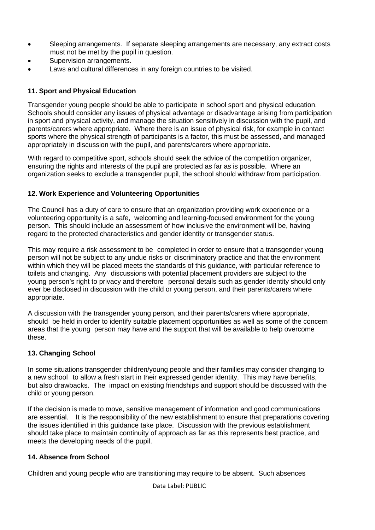- Sleeping arrangements. If separate sleeping arrangements are necessary, any extract costs must not be met by the pupil in question.
- Supervision arrangements.
- Laws and cultural differences in any foreign countries to be visited.

## **11. Sport and Physical Education**

Transgender young people should be able to participate in school sport and physical education. Schools should consider any issues of physical advantage or disadvantage arising from participation in sport and physical activity, and manage the situation sensitively in discussion with the pupil, and parents/carers where appropriate. Where there is an issue of physical risk, for example in contact sports where the physical strength of participants is a factor, this must be assessed, and managed appropriately in discussion with the pupil, and parents/carers where appropriate.

With regard to competitive sport, schools should seek the advice of the competition organizer. ensuring the rights and interests of the pupil are protected as far as is possible. Where an organization seeks to exclude a transgender pupil, the school should withdraw from participation.

## **12. Work Experience and Volunteering Opportunities**

The Council has a duty of care to ensure that an organization providing work experience or a volunteering opportunity is a safe, welcoming and learning-focused environment for the young person. This should include an assessment of how inclusive the environment will be, having regard to the protected characteristics and gender identity or transgender status.

This may require a risk assessment to be completed in order to ensure that a transgender young person will not be subject to any undue risks or discriminatory practice and that the environment within which they will be placed meets the standards of this guidance, with particular reference to toilets and changing. Any discussions with potential placement providers are subject to the young person's right to privacy and therefore personal details such as gender identity should only ever be disclosed in discussion with the child or young person, and their parents/carers where appropriate.

A discussion with the transgender young person, and their parents/carers where appropriate, should be held in order to identify suitable placement opportunities as well as some of the concern areas that the young person may have and the support that will be available to help overcome these.

## **13. Changing School**

In some situations transgender children/young people and their families may consider changing to a new school to allow a fresh start in their expressed gender identity. This may have benefits, but also drawbacks. The impact on existing friendships and support should be discussed with the child or young person.

If the decision is made to move, sensitive management of information and good communications are essential. It is the responsibility of the new establishment to ensure that preparations covering the issues identified in this guidance take place. Discussion with the previous establishment should take place to maintain continuity of approach as far as this represents best practice, and meets the developing needs of the pupil.

## **14. Absence from School**

Children and young people who are transitioning may require to be absent. Such absences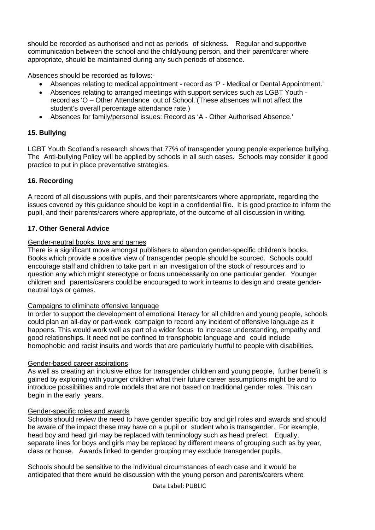should be recorded as authorised and not as periods of sickness. Regular and supportive communication between the school and the child/young person, and their parent/carer where appropriate, should be maintained during any such periods of absence.

Absences should be recorded as follows:-

- Absences relating to medical appointment record as 'P Medical or Dental Appointment.'
- Absences relating to arranged meetings with support services such as LGBT Youth record as 'O – Other Attendance out of School.'(These absences will not affect the student's overall percentage attendance rate.)
- Absences for family/personal issues: Record as 'A Other Authorised Absence.'

## **15. Bullying**

LGBT Youth Scotland's research shows that 77% of transgender young people experience bullying. The Anti-bullying Policy will be applied by schools in all such cases. Schools may consider it good practice to put in place preventative strategies.

## **16. Recording**

A record of all discussions with pupils, and their parents/carers where appropriate, regarding the issues covered by this guidance should be kept in a confidential file. It is good practice to inform the pupil, and their parents/carers where appropriate, of the outcome of all discussion in writing.

## **17. Other General Advice**

## Gender-neutral books, toys and games

There is a significant move amongst publishers to abandon gender-specific children's books. Books which provide a positive view of transgender people should be sourced. Schools could encourage staff and children to take part in an investigation of the stock of resources and to question any which might stereotype or focus unnecessarily on one particular gender. Younger children and parents/carers could be encouraged to work in teams to design and create genderneutral toys or games.

## Campaigns to eliminate offensive language

In order to support the development of emotional literacy for all children and young people, schools could plan an all-day or part-week campaign to record any incident of offensive language as it happens. This would work well as part of a wider focus to increase understanding, empathy and good relationships. It need not be confined to transphobic language and could include homophobic and racist insults and words that are particularly hurtful to people with disabilities.

## Gender-based career aspirations

As well as creating an inclusive ethos for transgender children and young people, further benefit is gained by exploring with younger children what their future career assumptions might be and to introduce possibilities and role models that are not based on traditional gender roles. This can begin in the early years.

## Gender-specific roles and awards

Schools should review the need to have gender specific boy and girl roles and awards and should be aware of the impact these may have on a pupil or student who is transgender. For example, head boy and head girl may be replaced with terminology such as head prefect. Equally, separate lines for boys and girls may be replaced by different means of grouping such as by year, class or house. Awards linked to gender grouping may exclude transgender pupils.

Schools should be sensitive to the individual circumstances of each case and it would be anticipated that there would be discussion with the young person and parents/carers where